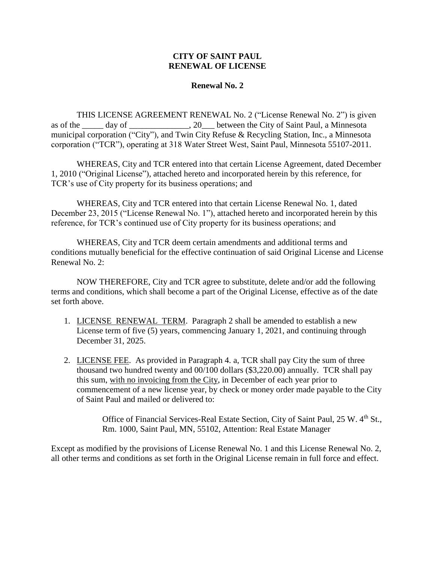## **CITY OF SAINT PAUL RENEWAL OF LICENSE**

## **Renewal No. 2**

THIS LICENSE AGREEMENT RENEWAL No. 2 ("License Renewal No. 2") is given as of the \_\_\_\_\_ day of \_\_\_\_\_\_\_\_\_\_\_\_\_\_, 20\_\_\_ between the City of Saint Paul, a Minnesota municipal corporation ("City"), and Twin City Refuse & Recycling Station, Inc., a Minnesota corporation ("TCR"), operating at 318 Water Street West, Saint Paul, Minnesota 55107-2011.

WHEREAS, City and TCR entered into that certain License Agreement, dated December 1, 2010 ("Original License"), attached hereto and incorporated herein by this reference, for TCR's use of City property for its business operations; and

WHEREAS, City and TCR entered into that certain License Renewal No. 1, dated December 23, 2015 ("License Renewal No. 1"), attached hereto and incorporated herein by this reference, for TCR's continued use of City property for its business operations; and

WHEREAS, City and TCR deem certain amendments and additional terms and conditions mutually beneficial for the effective continuation of said Original License and License Renewal No. 2:

NOW THEREFORE, City and TCR agree to substitute, delete and/or add the following terms and conditions, which shall become a part of the Original License, effective as of the date set forth above.

- 1. LICENSE RENEWAL TERM. Paragraph 2 shall be amended to establish a new License term of five (5) years, commencing January 1, 2021, and continuing through December 31, 2025.
- 2. LICENSE FEE. As provided in Paragraph 4. a, TCR shall pay City the sum of three thousand two hundred twenty and 00/100 dollars (\$3,220.00) annually. TCR shall pay this sum, with no invoicing from the City, in December of each year prior to commencement of a new license year, by check or money order made payable to the City of Saint Paul and mailed or delivered to:

Office of Financial Services-Real Estate Section, City of Saint Paul, 25 W. 4<sup>th</sup> St., Rm. 1000, Saint Paul, MN, 55102, Attention: Real Estate Manager

Except as modified by the provisions of License Renewal No. 1 and this License Renewal No. 2, all other terms and conditions as set forth in the Original License remain in full force and effect.